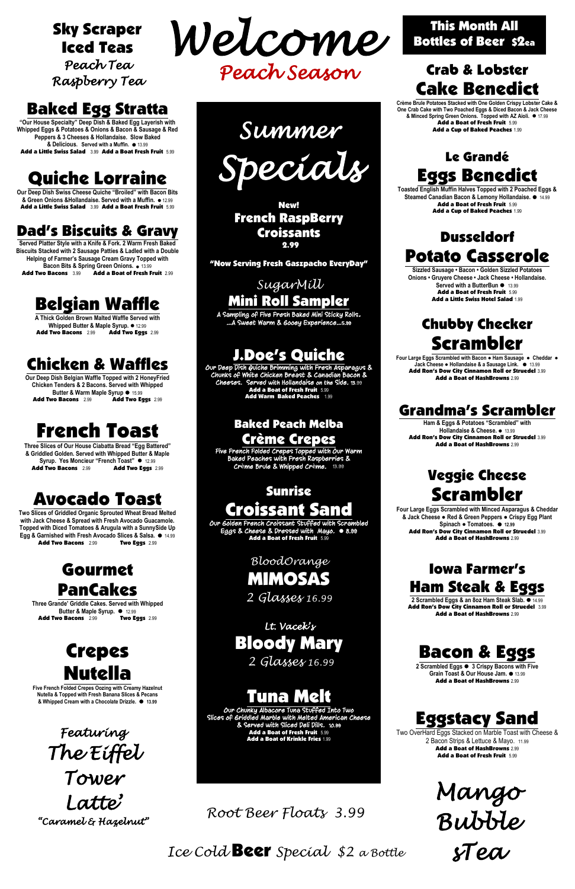*Ice Cold* Beer *Special \$2 a Bottle*

## Sky Scraper Iced Teas

*Peach Tea Raspberry Tea* 

## Baked Egg Stratta

**"Our House Specialty" Deep Dish & Baked Egg Layerish with Whipped Eggs & Potatoes & Onions & Bacon & Sausage & Red Peppers & 3 Cheeses & Hollandaise. Slow Baked & Delicious. Served with a Muffin.** ⚫ 13.99 Add a Little Swiss Salad 3.99 Add a Boat Fresh Fruit 5.99

**Served Platter Style with a Knife & Fork. 2 Warm Fresh Baked Biscuits Stacked with 2 Sausage Patties & Ladled with a Double Helping of Farmer's Sausage Cream Gravy Topped with Bacon Bits & Spring Green Onions. • 13.99**<br>**Add Two Bacons** 13.99 **Add a Boat of Fresh F** Add a Boat of Fresh Fruit 2.99

## Quiche Lorraine

**A Thick Golden Brown Malted Waffle Served with Whipped Butter & Maple Syrup. ● 12.99**<br>Two Bacons 2.99 **Add Two Eggs** 2.99 Add Two Bacons 2.99

**Our Deep Dish Swiss Cheese Quiche "Broiled" with Bacon Bits & Green Onions &Hollandaise. Served with a Muffin.** ⚫ 12.99 Add a Little Swiss Salad 3.99 Add a Boat Fresh Fruit 5.99

**Our Deep Dish Belgian Waffle Topped with 2 HoneyFried Chicken Tenders & 2 Bacons. Served with Whipped Butter & Warm Maple Syrup**  $\bullet$  15.99<br>**Add Two Bacons** 2.99 **Add Two Eq.** Add Two Eggs 2.99

## Dad's Biscuits & Gravy

**Three Grande' Griddle Cakes. Served with Whipped Butter & Maple Syrup.** ⚫12.99 Add Two Bacons 2.99 Two Eggs 2.99

## Belgian Waffle

*Root Beer Floats 3.99*

## Chicken & Waffles

## French Toast

**Three Slices of Our House Ciabatta Bread "Egg Battered" & Griddled Golden. Served with Whipped Butter & Maple Syrup. Yes Moncieur "French Toast"** ⚫ 12.99 Add Two Bacons 2.99 Add Two Eggs 2.99

## Avocado Toast

**Two Slices of Griddled Organic Sprouted Wheat Bread Melted with Jack Cheese & Spread with Fresh Avocado Guacamole. Topped with Diced Tomatoes & Arugula with a SunnySide Up Egg & Garnished with Fresh Avocado Slices & Salsa.** ⚫ 14.99 Add Two Bacons 2.99 Two Eggs 2.99

## Gourmet PanCakes



# Nutella

**Five French Folded Crepes Oozing with Creamy Hazelnut Nutella & Topped with Fresh Banana Slices & Pecans & Whipped Cream with a Chocolate Drizzle.** ⚫ **13.99**

Our Deep Dish Quiche Brimming with Fresh Asparagus & Chunks of White Chicken Breast & Canadian Bacon & Cheeses. Served with Hollandaise on the Side. 13.99 Add a Boat of Fresh Fruit 5.99 Add Warm Baked Peaches 1.99

#### Crab & Lobster Cake Benedict

**Crème Brule Potatoes Stacked with One Golden Crispy Lobster Cake & One Crab Cake with Two Poached Eggs & Diced Bacon & Jack Cheese & Minced Spring Green Onions. Topped with AZ Aioli.** ⚫ 17.99 Add a Boat of Fresh Fruit 5.99 Add a Cup of Baked Peaches 1.99

Our Golden French Croissant Stuffed with Scrambled Eggs & Cheese & Dressed with Mayo. ⚫ 8.99 Add a Boat of Fresh Fruit 5.99

> $\frac{1}{2}$  $\frac{1}{\sqrt{2}}$ *BloodOrange* MIMOSAS *2 Glasses 16.99*

## Le Grandé Eggs Benedict

it<br>ce Add a Boat of Fresh Fruit 15.99<br>Add a Boat of Krinkle Fries 1.99 Our Chunky Albacore Tuna Stuffed Into Two Slices of Griddled Marble with Melted American Cheese & Served with Sliced Deli Dills. 10.99 Add a Boat of Fresh Fruit 5.99

**Toasted English Muffin Halves Topped with 2 Poached Eggs & Steamed Canadian Bacon & Lemony Hollandaise.** ⚫ 14.99 Add a Boat of Fresh Fruit 5.99 Add a Cup of Baked Peaches 1.99



#### Dusseldorf Potato Casserole

**Sizzled Sausage • Bacon • Golden Sizzled Potatoes Onions • Gruyere Cheese • Jack Cheese • Hollandaise. Served with a ButterBun** ⚫ 13.99 Add a Boat of Fresh Fruit 5.99 Add a Little Swiss Hotel Salad 1.99

## Chubby Checker Scrambler

**Four Large Eggs Scrambled with Bacon ● Ham Sausage ● Cheddar** ● **Jack Cheese ● Hollandaise & a Sausage Link.** ⚫13.99 Add Ron's Dow City Cinnamon Roll or Struedel 3.99 Add a Boat of HashBrowns 2.99

#### Grandma's Scrambler

**Ham & Eggs & Potatoes "Scrambled" with Hollandaise & Cheese.** ⚫13.99 Add Ron's Dow City Cinnamon Roll or Struedel 3.99 Add a Boat of HashBrowns 2.99

#### Veggie Cheese Scrambler

**Four Large Eggs Scrambled with Minced Asparagus & Cheddar & Jack Cheese ● Red & Green Peppers ● Crispy Egg Plant Spinach ● Tomatoes.** ⚫ **12.99** Add Ron's Dow City Cinnamon Roll or Struedel 3.99 Add a Boat of HashBrowns 2.99

 *Lt. Vacek's*  Bloody Mary

 $\overline{\phantom{a}}$ 

#### Iowa Farmer's Ham Steak & Eggs

**2 Scrambled Eggs & an 8oz Ham Steak Slab.** ⚫ 14.99 Add Ron's Dow City Cinnamon Roll or Struedel 3.99 Add a Boat of HashBrowns 2.99



**2 Scrambled Eggs** ⚫ **3 Crispy Bacons with Five Grain Toast & Our House Jam.** ⚫ 13.99 Add a Boat of HashBrowns 2.99

## Eggstacy Sand

Two OverHard Eggs Stacked on Marble Toast with Cheese & 2 Bacon Strips & Lettuce & Mayo. 11.99 Add a Boat of HashBrowns 2.99 Add a Boat of Fresh Fruit 5.99

> *Mango Bubble*

*sTea* 

New! French RaspBerry Croissants 2.99

"Now Serving Fresh Gaszpacho EveryDay"

#### *SugarMill*  Mini Roll Sampler

A Sampling of Five Fresh Baked Mini Sticky Rolls. …A Sweet Warm & Gooey Experience…5.99

## J.Doe's Quiche

#### Baked Peach Melba Crème Crepes

Five French Folded Crepes Topped with Our Warm Baked Peaches with Fresh Raspberries & Cr**è**me Brule & Whipped Cr**è**me. 13.99

## Sunrise Croissant Sand

 *2 Glasses 16.99*

|<br>fr Tuna **Mel** 

*Featuring The Eiffel Tower Latte' "Caramel & Hazelnut"*  *Summer Specials* 

This Month All Bottles of Beer \$2ea